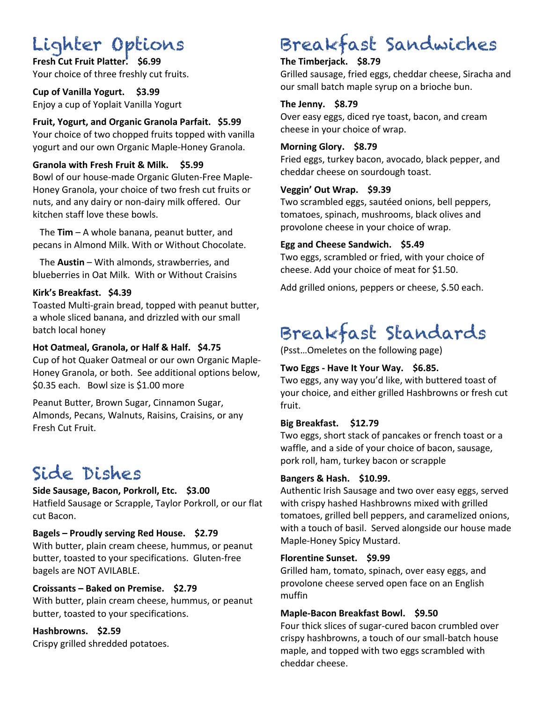# Lighter Options

**Fresh Cut Fruit Platter. \$6.99** Your choice of three freshly cut fruits.

**Cup of Vanilla Yogurt. \$3.99** Enjoy a cup of Yoplait Vanilla Yogurt

**Fruit, Yogurt, and Organic Granola Parfait. \$5.99** Your choice of two chopped fruits topped with vanilla yogurt and our own Organic Maple-Honey Granola.

## **Granola with Fresh Fruit & Milk. \$5.99**

Bowl of our house-made Organic Gluten-Free Maple-Honey Granola, your choice of two fresh cut fruits or nuts, and any dairy or non-dairy milk offered. Our kitchen staff love these bowls.

 The **Tim** – A whole banana, peanut butter, and pecans in Almond Milk. With or Without Chocolate.

 The **Austin** – With almonds, strawberries, and blueberries in Oat Milk. With or Without Craisins

#### **Kirk's Breakfast. \$4.39**

Toasted Multi-grain bread, topped with peanut butter, a whole sliced banana, and drizzled with our small batch local honey

#### **Hot Oatmeal, Granola, or Half & Half. \$4.75**

Cup of hot Quaker Oatmeal or our own Organic Maple-Honey Granola, or both. See additional options below, \$0.35 each. Bowl size is \$1.00 more

Peanut Butter, Brown Sugar, Cinnamon Sugar, Almonds, Pecans, Walnuts, Raisins, Craisins, or any Fresh Cut Fruit.

## Side Dishes

#### **Side Sausage, Bacon, Porkroll, Etc. \$3.00**

Hatfield Sausage or Scrapple, Taylor Porkroll, or our flat cut Bacon.

## **Bagels – Proudly serving Red House. \$2.79**

With butter, plain cream cheese, hummus, or peanut butter, toasted to your specifications. Gluten-free bagels are NOT AVILABLE.

## **Croissants – Baked on Premise. \$2.79**

With butter, plain cream cheese, hummus, or peanut butter, toasted to your specifications.

## **Hashbrowns. \$2.59**

Crispy grilled shredded potatoes.

# Breakfast Sandwiches

## **The Timberjack. \$8.79**

Grilled sausage, fried eggs, cheddar cheese, Siracha and our small batch maple syrup on a brioche bun.

## **The Jenny. \$8.79**

Over easy eggs, diced rye toast, bacon, and cream cheese in your choice of wrap.

#### **Morning Glory. \$8.79**

Fried eggs, turkey bacon, avocado, black pepper, and cheddar cheese on sourdough toast.

## **Veggin' Out Wrap. \$9.39**

Two scrambled eggs, sautéed onions, bell peppers, tomatoes, spinach, mushrooms, black olives and provolone cheese in your choice of wrap.

#### **Egg and Cheese Sandwich. \$5.49**

Two eggs, scrambled or fried, with your choice of cheese. Add your choice of meat for \$1.50.

Add grilled onions, peppers or cheese, \$.50 each.

# Breakfast Standards

(Psst…Omeletes on the following page)

## **Two Eggs - Have It Your Way. \$6.85.**

Two eggs, any way you'd like, with buttered toast of your choice, and either grilled Hashbrowns or fresh cut fruit.

## **Big Breakfast. \$12.79**

Two eggs, short stack of pancakes or french toast or a waffle, and a side of your choice of bacon, sausage, pork roll, ham, turkey bacon or scrapple

## **Bangers & Hash. \$10.99.**

Authentic Irish Sausage and two over easy eggs, served with crispy hashed Hashbrowns mixed with grilled tomatoes, grilled bell peppers, and caramelized onions, with a touch of basil. Served alongside our house made Maple-Honey Spicy Mustard.

## **Florentine Sunset. \$9.99**

Grilled ham, tomato, spinach, over easy eggs, and provolone cheese served open face on an English muffin

## **Maple-Bacon Breakfast Bowl. \$9.50**

Four thick slices of sugar-cured bacon crumbled over crispy hashbrowns, a touch of our small-batch house maple, and topped with two eggs scrambled with cheddar cheese.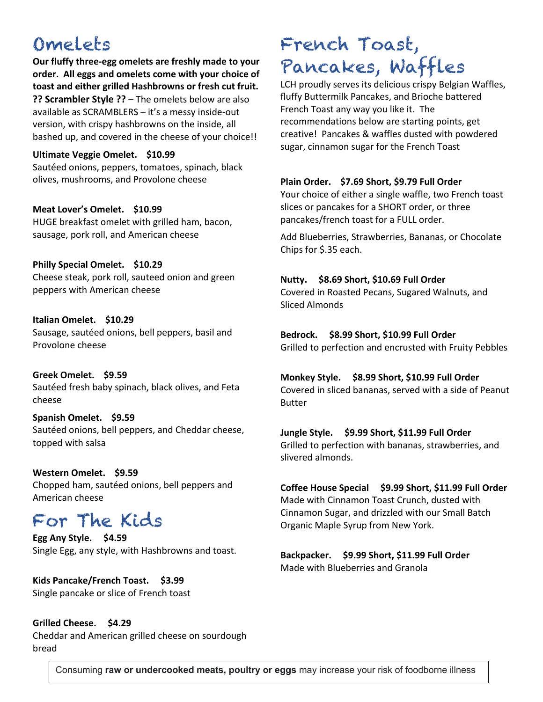## Omelets

**Our fluffy three-egg omelets are freshly made to your order. All eggs and omelets come with your choice of toast and either grilled Hashbrowns or fresh cut fruit. ?? Scrambler Style ??** – The omelets below are also

available as SCRAMBLERS – it's a messy inside-out version, with crispy hashbrowns on the inside, all bashed up, and covered in the cheese of your choice!!

#### **Ultimate Veggie Omelet. \$10.99**

Sautéed onions, peppers, tomatoes, spinach, black olives, mushrooms, and Provolone cheese

**Meat Lover's Omelet. \$10.99** HUGE breakfast omelet with grilled ham, bacon, sausage, pork roll, and American cheese

**Philly Special Omelet. \$10.29**  Cheese steak, pork roll, sauteed onion and green peppers with American cheese

**Italian Omelet. \$10.29** Sausage, sautéed onions, bell peppers, basil and Provolone cheese

**Greek Omelet. \$9.59** Sautéed fresh baby spinach, black olives, and Feta cheese

**Spanish Omelet. \$9.59** Sautéed onions, bell peppers, and Cheddar cheese, topped with salsa

**Western Omelet. \$9.59** Chopped ham, sautéed onions, bell peppers and American cheese

## For The Kids

**Egg Any Style. \$4.59** Single Egg, any style, with Hashbrowns and toast.

**Kids Pancake/French Toast. \$3.99** Single pancake or slice of French toast

**Grilled Cheese. \$4.29** Cheddar and American grilled cheese on sourdough bread

# French Toast, Pancakes, Waffles

LCH proudly serves its delicious crispy Belgian Waffles, fluffy Buttermilk Pancakes, and Brioche battered French Toast any way you like it. The recommendations below are starting points, get creative! Pancakes & waffles dusted with powdered sugar, cinnamon sugar for the French Toast

## **Plain Order. \$7.69 Short, \$9.79 Full Order**

Your choice of either a single waffle, two French toast slices or pancakes for a SHORT order, or three pancakes/french toast for a FULL order.

Add Blueberries, Strawberries, Bananas, or Chocolate Chips for \$.35 each.

#### **Nutty. \$8.69 Short, \$10.69 Full Order**

Covered in Roasted Pecans, Sugared Walnuts, and Sliced Almonds

**Bedrock. \$8.99 Short, \$10.99 Full Order** Grilled to perfection and encrusted with Fruity Pebbles

**Monkey Style. \$8.99 Short, \$10.99 Full Order** Covered in sliced bananas, served with a side of Peanut Butter

**Jungle Style. \$9.99 Short, \$11.99 Full Order** Grilled to perfection with bananas, strawberries, and slivered almonds.

**Coffee House Special \$9.99 Short, \$11.99 Full Order** Made with Cinnamon Toast Crunch, dusted with Cinnamon Sugar, and drizzled with our Small Batch Organic Maple Syrup from New York.

**Backpacker. \$9.99 Short, \$11.99 Full Order** Made with Blueberries and Granola

Consuming **raw or undercooked meats, poultry or eggs** may increase your risk of foodborne illness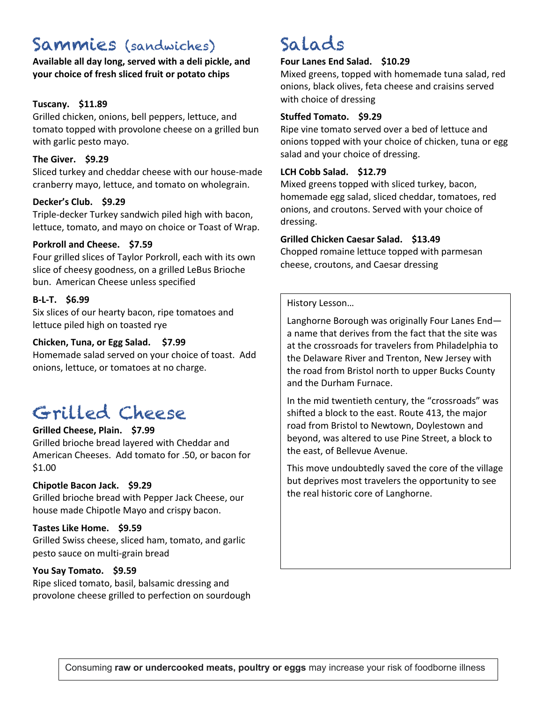## Sammies (sandwiches)

**Available all day long, served with a deli pickle, and your choice of fresh sliced fruit or potato chips**

#### **Tuscany. \$11.89**

Grilled chicken, onions, bell peppers, lettuce, and tomato topped with provolone cheese on a grilled bun with garlic pesto mayo.

#### **The Giver. \$9.29**

Sliced turkey and cheddar cheese with our house-made cranberry mayo, lettuce, and tomato on wholegrain.

## **Decker's Club. \$9.29**

Triple-decker Turkey sandwich piled high with bacon, lettuce, tomato, and mayo on choice or Toast of Wrap.

#### **Porkroll and Cheese. \$7.59**

Four grilled slices of Taylor Porkroll, each with its own slice of cheesy goodness, on a grilled LeBus Brioche bun. American Cheese unless specified

#### **B-L-T. \$6.99**

Six slices of our hearty bacon, ripe tomatoes and lettuce piled high on toasted rye

#### **Chicken, Tuna, or Egg Salad. \$7.99**

Homemade salad served on your choice of toast. Add onions, lettuce, or tomatoes at no charge.

## Grilled Cheese

## **Grilled Cheese, Plain. \$7.99**

Grilled brioche bread layered with Cheddar and American Cheeses. Add tomato for .50, or bacon for \$1.00

## **Chipotle Bacon Jack. \$9.29**

Grilled brioche bread with Pepper Jack Cheese, our house made Chipotle Mayo and crispy bacon.

#### **Tastes Like Home. \$9.59**

Grilled Swiss cheese, sliced ham, tomato, and garlic pesto sauce on multi-grain bread

#### **You Say Tomato. \$9.59**

Ripe sliced tomato, basil, balsamic dressing and provolone cheese grilled to perfection on sourdough

## Salads

#### **Four Lanes End Salad. \$10.29**

Mixed greens, topped with homemade tuna salad, red onions, black olives, feta cheese and craisins served with choice of dressing

#### **Stuffed Tomato. \$9.29**

Ripe vine tomato served over a bed of lettuce and onions topped with your choice of chicken, tuna or egg salad and your choice of dressing.

#### **LCH Cobb Salad. \$12.79**

Mixed greens topped with sliced turkey, bacon, homemade egg salad, sliced cheddar, tomatoes, red onions, and croutons. Served with your choice of dressing.

#### **Grilled Chicken Caesar Salad. \$13.49**

Chopped romaine lettuce topped with parmesan cheese, croutons, and Caesar dressing

History Lesson…

Langhorne Borough was originally Four Lanes End a name that derives from the fact that the site was at the crossroads for travelers from Philadelphia to the Delaware River and Trenton, New Jersey with the road from Bristol north to upper Bucks County and the Durham Furnace.

In the mid twentieth century, the "crossroads" was shifted a block to the east. Route 413, the major road from Bristol to Newtown, Doylestown and beyond, was altered to use Pine Street, a block to the east, of Bellevue Avenue.

This move undoubtedly saved the core of the village but deprives most travelers the opportunity to see the real historic core of Langhorne.